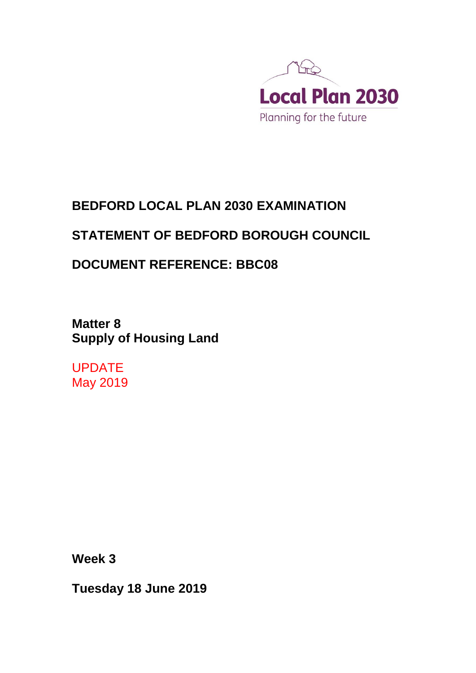

## **BEDFORD LOCAL PLAN 2030 EXAMINATION**

## **STATEMENT OF BEDFORD BOROUGH COUNCIL**

## **DOCUMENT REFERENCE: BBC08**

**Matter 8 Supply of Housing Land**

UPDATE May 2019

**Week 3**

**Tuesday 18 June 2019**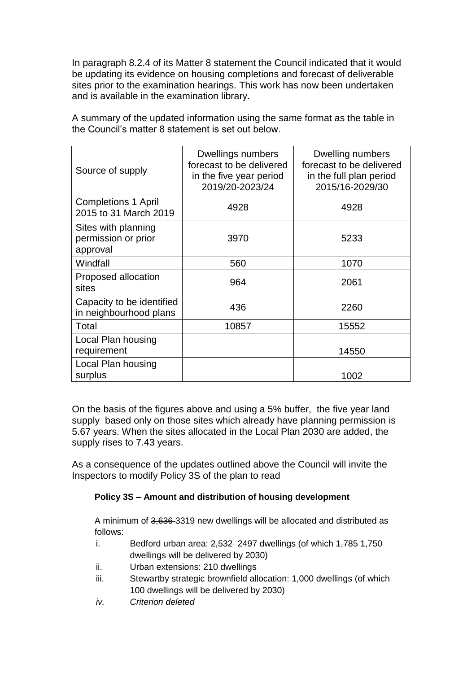In paragraph 8.2.4 of its Matter 8 statement the Council indicated that it would be updating its evidence on housing completions and forecast of deliverable sites prior to the examination hearings. This work has now been undertaken and is available in the examination library.

| Source of supply                                       | Dwellings numbers<br>forecast to be delivered<br>in the five year period<br>2019/20-2023/24 | Dwelling numbers<br>forecast to be delivered<br>in the full plan period<br>2015/16-2029/30 |
|--------------------------------------------------------|---------------------------------------------------------------------------------------------|--------------------------------------------------------------------------------------------|
| <b>Completions 1 April</b><br>2015 to 31 March 2019    | 4928                                                                                        | 4928                                                                                       |
| Sites with planning<br>permission or prior<br>approval | 3970                                                                                        | 5233                                                                                       |
| Windfall                                               | 560                                                                                         | 1070                                                                                       |
| Proposed allocation<br>sites                           | 964                                                                                         | 2061                                                                                       |
| Capacity to be identified<br>in neighbourhood plans    | 436                                                                                         | 2260                                                                                       |
| Total                                                  | 10857                                                                                       | 15552                                                                                      |
| Local Plan housing<br>requirement                      |                                                                                             | 14550                                                                                      |
| Local Plan housing<br>surplus                          |                                                                                             | 1002                                                                                       |

A summary of the updated information using the same format as the table in the Council's matter 8 statement is set out below.

On the basis of the figures above and using a 5% buffer, the five year land supply based only on those sites which already have planning permission is 5.67 years. When the sites allocated in the Local Plan 2030 are added, the supply rises to 7.43 years.

As a consequence of the updates outlined above the Council will invite the Inspectors to modify Policy 3S of the plan to read

## **Policy 3S – Amount and distribution of housing development**

A minimum of 3,636 3319 new dwellings will be allocated and distributed as follows:

- i. Bedford urban area:  $2,532$  2497 dwellings (of which  $1,785$  1,750 dwellings will be delivered by 2030)
- ii. Urban extensions: 210 dwellings
- iii. Stewartby strategic brownfield allocation: 1,000 dwellings (of which 100 dwellings will be delivered by 2030)
- *iv. Criterion deleted*